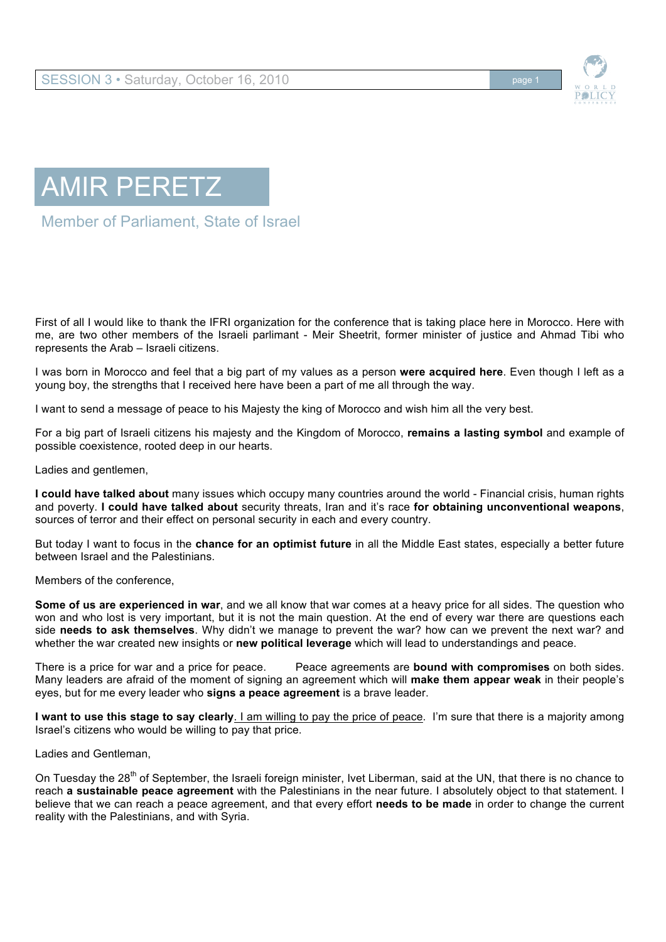



## AMIR PERETZ

Member of Parliament, State of Israel

First of all I would like to thank the IFRI organization for the conference that is taking place here in Morocco. Here with me, are two other members of the Israeli parlimant - Meir Sheetrit, former minister of justice and Ahmad Tibi who represents the Arab – Israeli citizens.

I was born in Morocco and feel that a big part of my values as a person **were acquired here**. Even though I left as a young boy, the strengths that I received here have been a part of me all through the way.

I want to send a message of peace to his Majesty the king of Morocco and wish him all the very best.

For a big part of Israeli citizens his majesty and the Kingdom of Morocco, **remains a lasting symbol** and example of possible coexistence, rooted deep in our hearts.

Ladies and gentlemen,

**I could have talked about** many issues which occupy many countries around the world - Financial crisis, human rights and poverty. **I could have talked about** security threats, Iran and it's race **for obtaining unconventional weapons**, sources of terror and their effect on personal security in each and every country.

But today I want to focus in the **chance for an optimist future** in all the Middle East states, especially a better future between Israel and the Palestinians.

Members of the conference,

**Some of us are experienced in war**, and we all know that war comes at a heavy price for all sides. The question who won and who lost is very important, but it is not the main question. At the end of every war there are questions each side **needs to ask themselves**. Why didn't we manage to prevent the war? how can we prevent the next war? and whether the war created new insights or **new political leverage** which will lead to understandings and peace.

There is a price for war and a price for peace. Peace agreements are **bound with compromises** on both sides. Many leaders are afraid of the moment of signing an agreement which will **make them appear weak** in their people's eyes, but for me every leader who **signs a peace agreement** is a brave leader.

**I want to use this stage to say clearly**. I am willing to pay the price of peace. I'm sure that there is a majority among Israel's citizens who would be willing to pay that price.

Ladies and Gentleman,

On Tuesday the 28<sup>th</sup> of September, the Israeli foreign minister, Ivet Liberman, said at the UN, that there is no chance to reach **a sustainable peace agreement** with the Palestinians in the near future. I absolutely object to that statement. I believe that we can reach a peace agreement, and that every effort **needs to be made** in order to change the current reality with the Palestinians, and with Syria.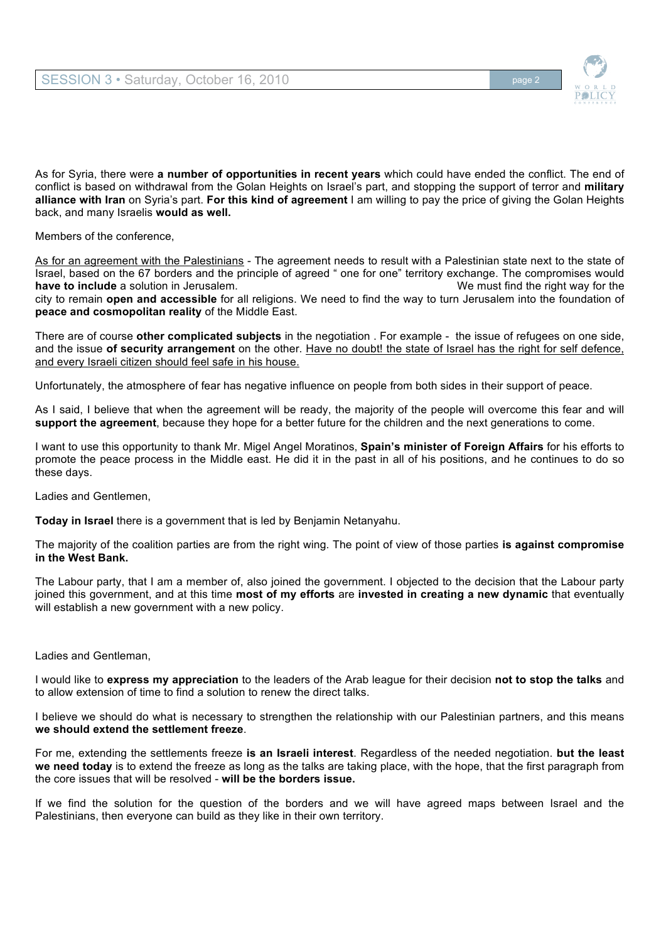

As for Syria, there were **a number of opportunities in recent years** which could have ended the conflict. The end of conflict is based on withdrawal from the Golan Heights on Israel's part, and stopping the support of terror and **military alliance with Iran** on Syria's part. **For this kind of agreement** I am willing to pay the price of giving the Golan Heights back, and many Israelis **would as well.**

Members of the conference,

As for an agreement with the Palestinians - The agreement needs to result with a Palestinian state next to the state of Israel, based on the 67 borders and the principle of agreed " one for one" territory exchange. The compromises would **have to include** a solution in Jerusalem. Notice that the must find the right way for the city to remain **open and accessible** for all religions. We need to find the way to turn Jerusalem into the foundation of **peace and cosmopolitan reality** of the Middle East.

There are of course **other complicated subjects** in the negotiation . For example - the issue of refugees on one side, and the issue **of security arrangement** on the other. Have no doubt! the state of Israel has the right for self defence, and every Israeli citizen should feel safe in his house.

Unfortunately, the atmosphere of fear has negative influence on people from both sides in their support of peace.

As I said, I believe that when the agreement will be ready, the majority of the people will overcome this fear and will **support the agreement**, because they hope for a better future for the children and the next generations to come.

I want to use this opportunity to thank Mr. Migel Angel Moratinos, **Spain's minister of Foreign Affairs** for his efforts to promote the peace process in the Middle east. He did it in the past in all of his positions, and he continues to do so these days.

Ladies and Gentlemen,

**Today in Israel** there is a government that is led by Benjamin Netanyahu.

The majority of the coalition parties are from the right wing. The point of view of those parties **is against compromise in the West Bank.** 

The Labour party, that I am a member of, also joined the government. I objected to the decision that the Labour party joined this government, and at this time **most of my efforts** are **invested in creating a new dynamic** that eventually will establish a new government with a new policy.

## Ladies and Gentleman,

I would like to **express my appreciation** to the leaders of the Arab league for their decision **not to stop the talks** and to allow extension of time to find a solution to renew the direct talks.

I believe we should do what is necessary to strengthen the relationship with our Palestinian partners, and this means **we should extend the settlement freeze**.

For me, extending the settlements freeze **is an Israeli interest**. Regardless of the needed negotiation. **but the least we need today** is to extend the freeze as long as the talks are taking place, with the hope, that the first paragraph from the core issues that will be resolved - **will be the borders issue.** 

If we find the solution for the question of the borders and we will have agreed maps between Israel and the Palestinians, then everyone can build as they like in their own territory.